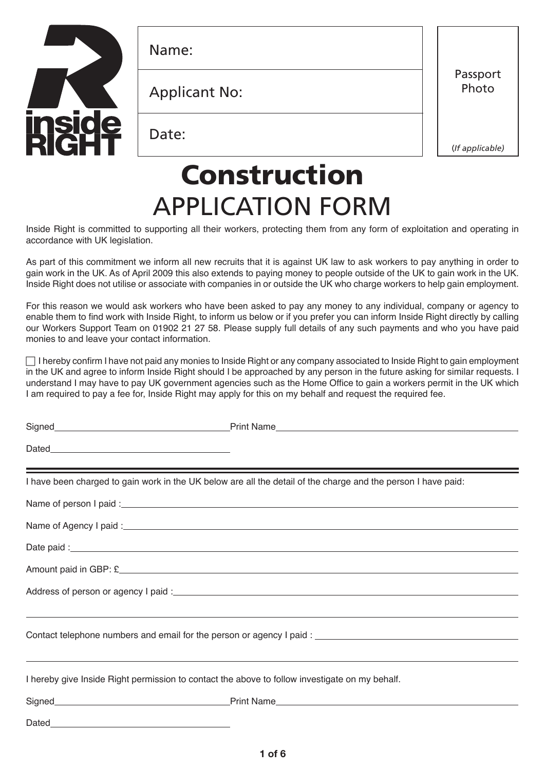

Name:

Applicant No:

Date:

Passport Photo

(*If applicable)*

# Construction APPLICATION FORM

Inside Right is committed to supporting all their workers, protecting them from any form of exploitation and operating in accordance with UK legislation.

As part of this commitment we inform all new recruits that it is against UK law to ask workers to pay anything in order to gain work in the UK. As of April 2009 this also extends to paying money to people outside of the UK to gain work in the UK. Inside Right does not utilise or associate with companies in or outside the UK who charge workers to help gain employment.

For this reason we would ask workers who have been asked to pay any money to any individual, company or agency to enable them to find work with Inside Right, to inform us below or if you prefer you can inform Inside Right directly by calling our Workers Support Team on 01902 21 27 58. Please supply full details of any such payments and who you have paid monies to and leave your contact information.

 $\Box$  I hereby confirm I have not paid any monies to Inside Right or any company associated to Inside Right to gain employment in the UK and agree to inform Inside Right should I be approached by any person in the future asking for similar requests. I understand I may have to pay UK government agencies such as the Home Office to gain a workers permit in the UK which I am required to pay a fee for, Inside Right may apply for this on my behalf and request the required fee.

|                                                                                                | I have been charged to gain work in the UK below are all the detail of the charge and the person I have paid:                                                                                                                        |
|------------------------------------------------------------------------------------------------|--------------------------------------------------------------------------------------------------------------------------------------------------------------------------------------------------------------------------------------|
|                                                                                                |                                                                                                                                                                                                                                      |
|                                                                                                |                                                                                                                                                                                                                                      |
|                                                                                                | Date paid: <u>contract and contract and contract and contract and contract and contract and contract and contract and contract and contract and contract and contract and contract and contract and contract and contract and co</u> |
|                                                                                                |                                                                                                                                                                                                                                      |
|                                                                                                |                                                                                                                                                                                                                                      |
|                                                                                                | ,我们也不能会在这里,我们也不能会在这里,我们也不能会在这里,我们也不能会在这里,我们也不能会在这里,我们也不能会在这里,我们也不能会不能会不能会。""我们,我们                                                                                                                                                    |
| I hereby give Inside Right permission to contact the above to follow investigate on my behalf. | ,我们也不会有什么?""我们的人,我们也不会有什么?""我们的人,我们也不会有什么?""我们的人,我们也不会有什么?""我们的人,我们也不会有什么?""我们的人                                                                                                                                                     |
|                                                                                                |                                                                                                                                                                                                                                      |
|                                                                                                |                                                                                                                                                                                                                                      |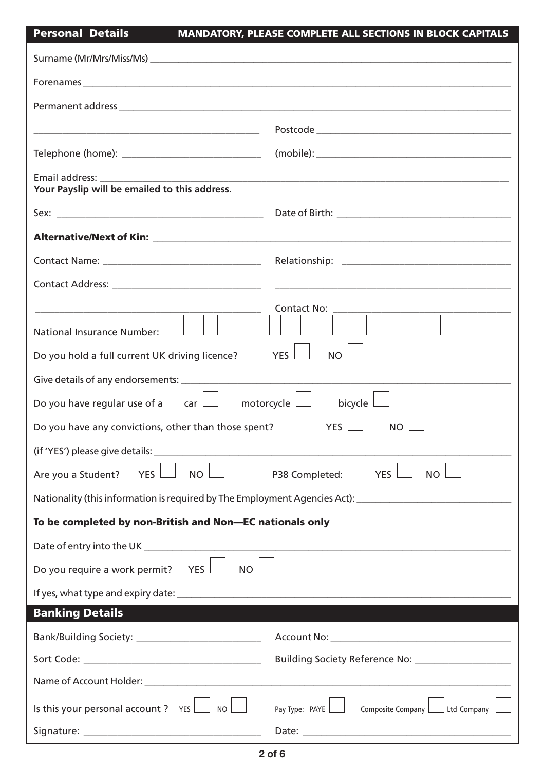# Personal Details MANDATORY, PLEASE COMPLETE ALL SECTIONS IN BLOCK CAPITALS

| Forenames experience and the contract of the contract of the contract of the contract of the contract of the contract of the contract of the contract of the contract of the contract of the contract of the contract of the c |                                                                                                               |
|--------------------------------------------------------------------------------------------------------------------------------------------------------------------------------------------------------------------------------|---------------------------------------------------------------------------------------------------------------|
|                                                                                                                                                                                                                                |                                                                                                               |
|                                                                                                                                                                                                                                |                                                                                                               |
| Telephone (home): ___________________________________                                                                                                                                                                          |                                                                                                               |
| Email address: The contract of the contract of the contract of the contract of the contract of the contract of the contract of the contract of the contract of the contract of the contract of the contract of the contract of |                                                                                                               |
| Your Payslip will be emailed to this address.                                                                                                                                                                                  |                                                                                                               |
|                                                                                                                                                                                                                                |                                                                                                               |
|                                                                                                                                                                                                                                |                                                                                                               |
|                                                                                                                                                                                                                                |                                                                                                               |
|                                                                                                                                                                                                                                |                                                                                                               |
| <b>National Insurance Number:</b><br>Do you hold a full current UK driving licence?                                                                                                                                            | <b>Contact No:</b><br>YES  <br><b>NO</b>                                                                      |
| Do you have regular use of a $\Box$ motorcycle $\Box$                                                                                                                                                                          | bicycle $\Box$                                                                                                |
| Do you have any convictions, other than those spent?                                                                                                                                                                           | <b>YES</b><br><b>NO</b>                                                                                       |
| (if 'YES') please give details:                                                                                                                                                                                                |                                                                                                               |
| Are you a Student?<br><b>YES</b><br><b>NO</b>                                                                                                                                                                                  | P38 Completed:<br><b>YES</b><br><b>NO</b>                                                                     |
|                                                                                                                                                                                                                                | Nationality (this information is required by The Employment Agencies Act): __________________________________ |
| To be completed by non-British and Non-EC nationals only                                                                                                                                                                       |                                                                                                               |
|                                                                                                                                                                                                                                |                                                                                                               |
| Do you require a work permit? YES $\Box$<br>NO                                                                                                                                                                                 |                                                                                                               |
|                                                                                                                                                                                                                                |                                                                                                               |
| <b>Banking Details</b>                                                                                                                                                                                                         |                                                                                                               |
|                                                                                                                                                                                                                                |                                                                                                               |
|                                                                                                                                                                                                                                | Building Society Reference No: _______________________                                                        |
|                                                                                                                                                                                                                                |                                                                                                               |
| Is this your personal account ? $YES$ $\Box$ No                                                                                                                                                                                | Pay Type: PAYE     Composite Company     Ltd Company                                                          |
|                                                                                                                                                                                                                                |                                                                                                               |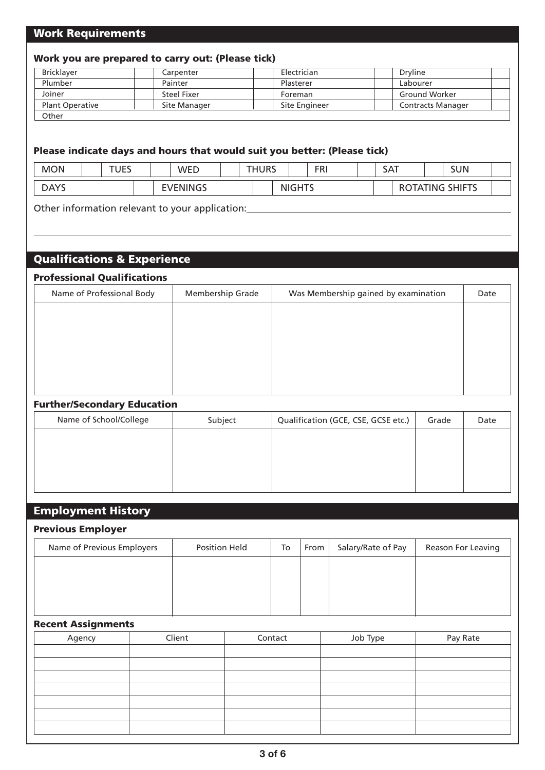## Work Requirements

### Work you are prepared to carry out: (Please tick)

| <b>Bricklayer</b>      | Carpenter    | Electrician   | Dryline                  |
|------------------------|--------------|---------------|--------------------------|
| Plumber                | Painter      | Plasterer     | Labourer                 |
| Joiner                 | Steel Fixer  | Foreman       | <b>Ground Worker</b>     |
| <b>Plant Operative</b> | Site Manager | Site Engineer | <b>Contracts Manager</b> |
| Other                  |              |               |                          |

#### Please indicate days and hours that would suit you better: (Please tick)

| <b>MON</b>  | <b>UES</b><br>- 1 | WED     | <b>THURS</b> |               | <b>FRI</b> | SAT |    |     | SUN           |  |
|-------------|-------------------|---------|--------------|---------------|------------|-----|----|-----|---------------|--|
| <b>DAYS</b> |                   | VENINGS |              | <b>NIGHTS</b> |            |     | IΑ | ING | <b>SHIFTS</b> |  |

Other information relevant to your application: \_\_\_\_\_\_\_\_\_\_\_\_\_\_\_\_\_\_\_\_\_\_\_\_\_\_\_\_\_\_\_\_\_

# Qualifications & Experience

#### Professional Qualifications

| Name of Professional Body | Membership Grade | Was Membership gained by examination | Date |
|---------------------------|------------------|--------------------------------------|------|
|                           |                  |                                      |      |
|                           |                  |                                      |      |
|                           |                  |                                      |      |
|                           |                  |                                      |      |
|                           |                  |                                      |      |
|                           |                  |                                      |      |

#### Further/Secondary Education

| Name of School/College | Subject | Qualification (GCE, CSE, GCSE etc.) | Grade | Date |
|------------------------|---------|-------------------------------------|-------|------|
|                        |         |                                     |       |      |
|                        |         |                                     |       |      |
|                        |         |                                     |       |      |
|                        |         |                                     |       |      |

## Employment History

#### Previous Employer

| Name of Previous Employers | <b>Position Held</b> | To | From | Salary/Rate of Pay | Reason For Leaving |
|----------------------------|----------------------|----|------|--------------------|--------------------|
|                            |                      |    |      |                    |                    |
|                            |                      |    |      |                    |                    |
|                            |                      |    |      |                    |                    |

#### Recent Assignments

| Agency | Client | Contact | Job Type | Pay Rate |
|--------|--------|---------|----------|----------|
|        |        |         |          |          |
|        |        |         |          |          |
|        |        |         |          |          |
|        |        |         |          |          |
|        |        |         |          |          |
|        |        |         |          |          |
|        |        |         |          |          |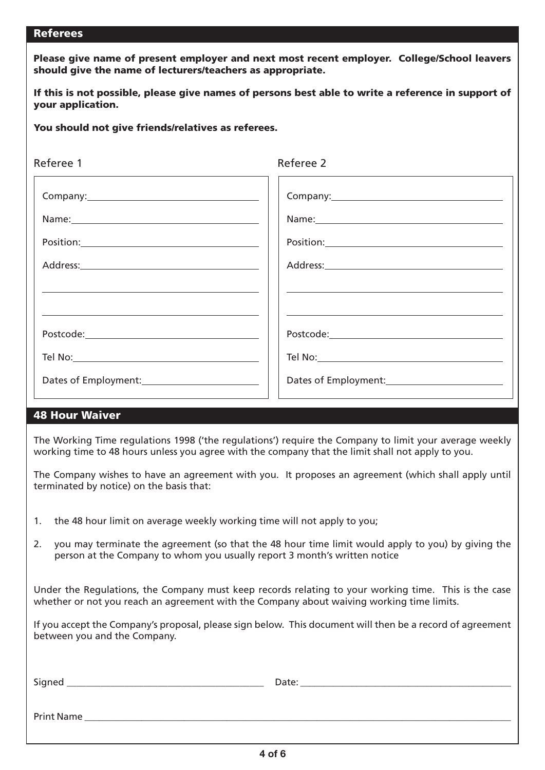#### Referees

Please give name of present employer and next most recent employer. College/School leavers should give the name of lecturers/teachers as appropriate.

If this is not possible, please give names of persons best able to write a reference in support of your application.

You should not give friends/relatives as referees.

| Referee 1                                                                                                                                                                                                                                                                                                                                                                                                                                                                                                                                                     | Referee 2 |
|---------------------------------------------------------------------------------------------------------------------------------------------------------------------------------------------------------------------------------------------------------------------------------------------------------------------------------------------------------------------------------------------------------------------------------------------------------------------------------------------------------------------------------------------------------------|-----------|
|                                                                                                                                                                                                                                                                                                                                                                                                                                                                                                                                                               |           |
|                                                                                                                                                                                                                                                                                                                                                                                                                                                                                                                                                               |           |
| $\begin{picture}(150,10) \put(0,0){\vector(1,0){100}} \put(15,0){\vector(1,0){100}} \put(15,0){\vector(1,0){100}} \put(15,0){\vector(1,0){100}} \put(15,0){\vector(1,0){100}} \put(15,0){\vector(1,0){100}} \put(15,0){\vector(1,0){100}} \put(15,0){\vector(1,0){100}} \put(15,0){\vector(1,0){100}} \put(15,0){\vector(1,0){100}} \put(15,0){\vector(1,0){100}}$                                                                                                                                                                                            |           |
|                                                                                                                                                                                                                                                                                                                                                                                                                                                                                                                                                               |           |
|                                                                                                                                                                                                                                                                                                                                                                                                                                                                                                                                                               |           |
|                                                                                                                                                                                                                                                                                                                                                                                                                                                                                                                                                               |           |
| $\textsf{Postcode:}\textcolor{red}{\overbrace{\hspace{15em}}\text{Postcode:}\textcolor{blue}{\textbf{}}\textcolor{blue}{\textbf{}}\text{}}\textcolor{red}{\textbf{}}\textcolor{blue}{\textbf{}}\textcolor{blue}{\textbf{}}\textcolor{blue}{\textbf{}}\textcolor{blue}{\textbf{}}\textcolor{blue}{\textbf{}}\textcolor{blue}{\textbf{}}\textcolor{blue}{\textbf{}}\textcolor{blue}{\textbf{}}\textcolor{blue}{\textbf{}}\textcolor{blue}{\textbf{}}\textcolor{blue}{\textbf{}}\textcolor{blue}{\textbf{}}\textcolor{blue}{\textbf{}}\textcolor{blue}{\textbf{$ |           |
|                                                                                                                                                                                                                                                                                                                                                                                                                                                                                                                                                               |           |
|                                                                                                                                                                                                                                                                                                                                                                                                                                                                                                                                                               |           |

## 48 Hour Waiver

The Working Time regulations 1998 ('the regulations') require the Company to limit your average weekly working time to 48 hours unless you agree with the company that the limit shall not apply to you.

The Company wishes to have an agreement with you. It proposes an agreement (which shall apply until terminated by notice) on the basis that:

- 1. the 48 hour limit on average weekly working time will not apply to you;
- 2. you may terminate the agreement (so that the 48 hour time limit would apply to you) by giving the person at the Company to whom you usually report 3 month's written notice

Under the Regulations, the Company must keep records relating to your working time. This is the case whether or not you reach an agreement with the Company about waiving working time limits.

If you accept the Company's proposal, please sign below. This document will then be a record of agreement between you and the Company.

| Signed     | Date: |
|------------|-------|
|            |       |
| Print Name |       |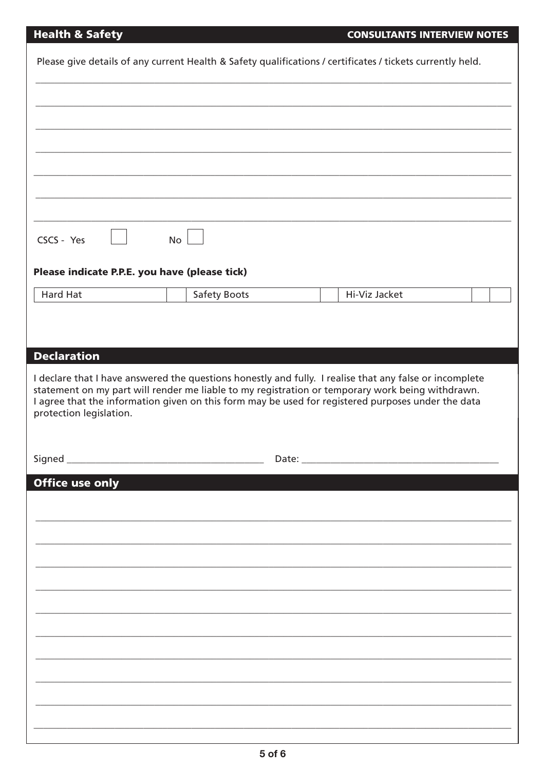# **Health & Safety**

|                                                                                   |    | Please give details of any current Health & Safety qualifications / certificates / tickets currently held.                                                                                                                                                                                                        |               |  |
|-----------------------------------------------------------------------------------|----|-------------------------------------------------------------------------------------------------------------------------------------------------------------------------------------------------------------------------------------------------------------------------------------------------------------------|---------------|--|
|                                                                                   |    |                                                                                                                                                                                                                                                                                                                   |               |  |
|                                                                                   |    |                                                                                                                                                                                                                                                                                                                   |               |  |
|                                                                                   |    |                                                                                                                                                                                                                                                                                                                   |               |  |
|                                                                                   |    |                                                                                                                                                                                                                                                                                                                   |               |  |
|                                                                                   |    |                                                                                                                                                                                                                                                                                                                   |               |  |
| CSCS - Yes                                                                        | No |                                                                                                                                                                                                                                                                                                                   |               |  |
| Please indicate P.P.E. you have (please tick)                                     |    |                                                                                                                                                                                                                                                                                                                   |               |  |
| Hard Hat                                                                          |    | Safety Boots                                                                                                                                                                                                                                                                                                      | Hi-Viz Jacket |  |
|                                                                                   |    |                                                                                                                                                                                                                                                                                                                   |               |  |
|                                                                                   |    |                                                                                                                                                                                                                                                                                                                   |               |  |
|                                                                                   |    |                                                                                                                                                                                                                                                                                                                   |               |  |
|                                                                                   |    | I declare that I have answered the questions honestly and fully. I realise that any false or incomplete<br>statement on my part will render me liable to my registration or temporary work being withdrawn.<br>I agree that the information given on this form may be used for registered purposes under the data |               |  |
|                                                                                   |    |                                                                                                                                                                                                                                                                                                                   |               |  |
|                                                                                   |    | Date:                                                                                                                                                                                                                                                                                                             |               |  |
|                                                                                   |    |                                                                                                                                                                                                                                                                                                                   |               |  |
|                                                                                   |    |                                                                                                                                                                                                                                                                                                                   |               |  |
|                                                                                   |    |                                                                                                                                                                                                                                                                                                                   |               |  |
|                                                                                   |    |                                                                                                                                                                                                                                                                                                                   |               |  |
|                                                                                   |    |                                                                                                                                                                                                                                                                                                                   |               |  |
|                                                                                   |    |                                                                                                                                                                                                                                                                                                                   |               |  |
|                                                                                   |    |                                                                                                                                                                                                                                                                                                                   |               |  |
|                                                                                   |    |                                                                                                                                                                                                                                                                                                                   |               |  |
|                                                                                   |    |                                                                                                                                                                                                                                                                                                                   |               |  |
|                                                                                   |    |                                                                                                                                                                                                                                                                                                                   |               |  |
|                                                                                   |    |                                                                                                                                                                                                                                                                                                                   |               |  |
| <b>Declaration</b><br>protection legislation.<br>Signed<br><b>Office use only</b> |    |                                                                                                                                                                                                                                                                                                                   |               |  |